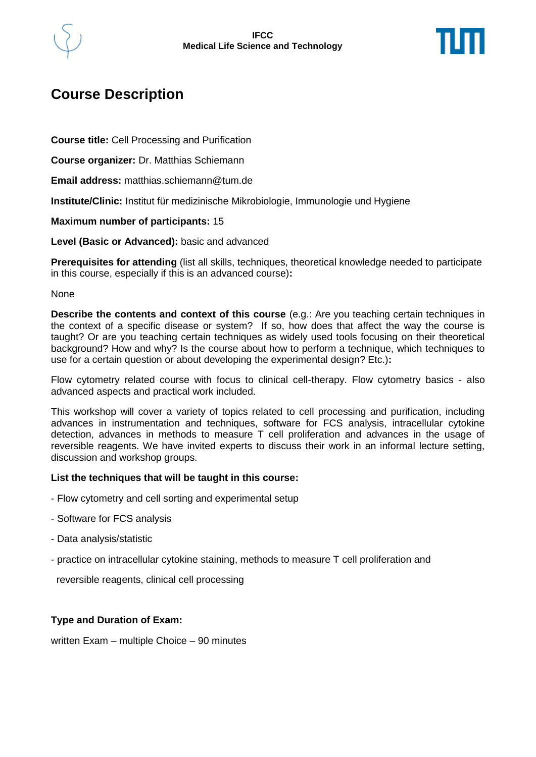

# **Course Description**

**Course title:** Cell Processing and Purification

**Course organizer:** Dr. Matthias Schiemann

**Email address:** matthias.schiemann@tum.de

**Institute/Clinic:** Institut für medizinische Mikrobiologie, Immunologie und Hygiene

#### **Maximum number of participants:** 15

**Level (Basic or Advanced):** basic and advanced

**Prerequisites for attending** (list all skills, techniques, theoretical knowledge needed to participate in this course, especially if this is an advanced course)**:**

#### None

**Describe the contents and context of this course** (e.g.: Are you teaching certain techniques in the context of a specific disease or system? If so, how does that affect the way the course is taught? Or are you teaching certain techniques as widely used tools focusing on their theoretical background? How and why? Is the course about how to perform a technique, which techniques to use for a certain question or about developing the experimental design? Etc.)**:**

Flow cytometry related course with focus to clinical cell-therapy. Flow cytometry basics - also advanced aspects and practical work included.

This workshop will cover a variety of topics related to cell processing and purification, including advances in instrumentation and techniques, software for FCS analysis, intracellular cytokine detection, advances in methods to measure T cell proliferation and advances in the usage of reversible reagents. We have invited experts to discuss their work in an informal lecture setting, discussion and workshop groups.

#### **List the techniques that will be taught in this course:**

- Flow cytometry and cell sorting and experimental setup
- Software for FCS analysis
- Data analysis/statistic
- practice on intracellular cytokine staining, methods to measure T cell proliferation and

reversible reagents, clinical cell processing

### **Type and Duration of Exam:**

written Exam – multiple Choice – 90 minutes